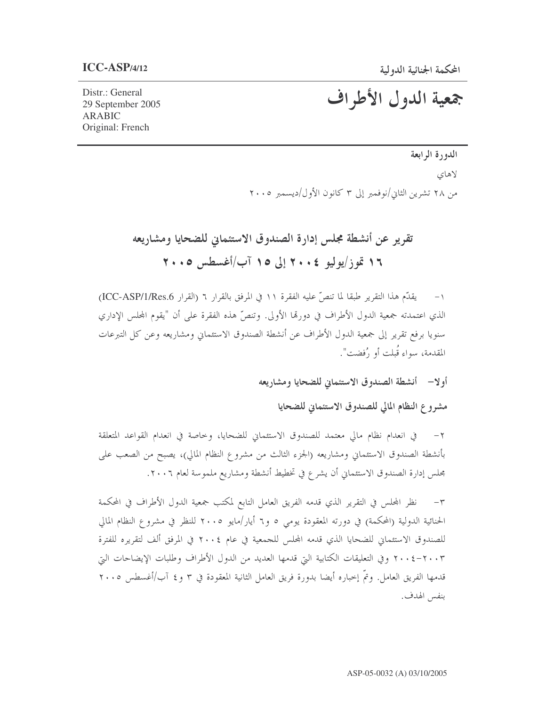جمعية الدول الأطراف

Distr.: General 29 September 2005 ARABIC Original: French

## الدورة الرابعة

لاهاي

من ٢٨ تشرين الثاني/نوفمبر إلى ٣ كانون الأول/ديسمبر ٢٠٠٥

# تقرير عن أنشطة مجلس إدارة الصندوق الاستئماني للضحايا ومشاريعه ۱۶ تموز/یولیو ۲۰۰<del>۶</del> اِلی ۱۵ آب/أغسطس ۲۰۰**۰**

١- يقدّم هذا التقرير طبقا لما تنصّ عليه الفقرة ١١ في المرفق بالقرار ٢ (القرار ICC-ASP/1/Res.6) الذي اعتمدته جمعية الدول الأطراف في دورقما الأولى. وتنصَّ هذه الفقرة على أن "يقوم المحلس الإداري سنويا برفع تقرير إلى جمعية الدول الأطراف عن أنشطة الصندوق الاستئماني ومشاريعه وعن كل التبرعات المقدمة، سواء قُبلت أو , ُفضت".

أولا— أنشطة الصندوق الاستئماني للضحايا ومشاريعه

مشروع النظام المالي للصندوق الاستئماني للضحايا

٢– في انعدام نظام مالي معتمد للصندوق الاستئماني للضحايا، وخاصة في انعدام القواعد المتعلقة بأنشطة الصندوق الاستئماني ومشاريعه (الجزء الثالث من مشروع النظام المالي)، يصبح من الصعب على محلس إدارة الصندوق الاستئماني أن يشرع في تخطيط أنشطة ومشاريع ملموسة لعام ٢٠٠٦.

٣– نظر المحلس في التقرير الذي قدمه الفريق العامل التابع لمكتب جمعية الدول الأطراف في المحكمة الحنائية الدولية (المحكمة) في دورته المعقودة يومي ٥ و٦ أيار/مايو ٢٠٠٥ للنظر في مشروع النظام المالي للصندوق الاستئماني للضحايا الذي قدمه المحلس للجمعية في عام ٢٠٠٤ في المرفق ألف لتقريره للفترة ٢٠٠٤- ٢٠٠٤ وفي التعليقات الكتابية التي قدمها العديد من الدول الأطراف وطلبات الإيضاحات التي قدمها الفريق العامل. وتمَّ إخباره أيضا بدورة فريق العامل الثانية المعقودة في ٣ و ٤ آب/أغسطس ٢٠٠٥ بنفس الهدف.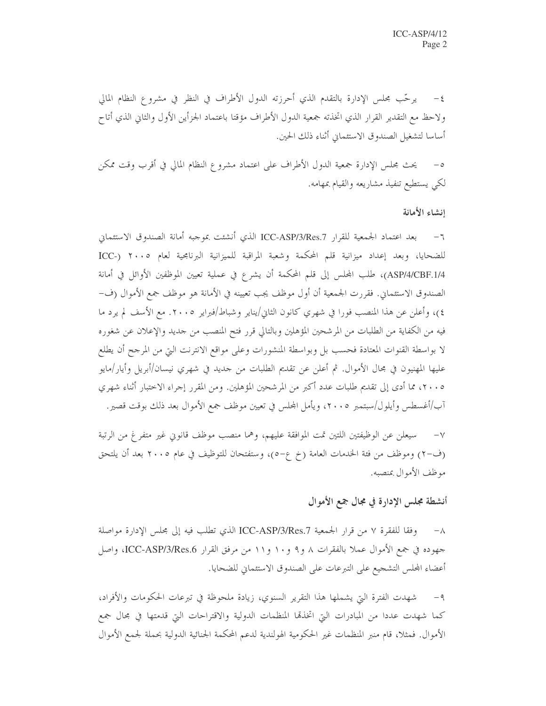٤- يرحَّب مجلس الإدارة بالتقدم الذي أحرزته الدول الأطراف في النظر في مشروع النظام المالي ولاحظ مع التقدير القرار الذي اتخذته جمعية الدول الأطراف مؤقتا باعتماد الجزأين الأول والثاني الذي أتاح أساسا لتشغيل الصندوق الاستئماني أثناء ذلك الحين.

يحتْ مجلس الإدارة جمعية الدول الأطراف على اعتماد مشروع النظام المالي في أقرب وقت ممكن لكي يستطيع تنفيذ مشاريعه والقيام بمهامه.

#### انشاء الأمانة

٦– بعد اعتماد الجمعية للقرار ICC-ASP/3/Res.7 الذي أنشئت بموجبه أمانة الصندوق الاستئماني للضحايا، وبعد إعداد ميزانية قلم المحكمة وشعبة المراقبة للميزانية البرنامجية لعام ٢٠٠٥ (-ICC ASP/4/CBF.1/4)، طلب المجلس إلى قلم المحكمة أن يشرع في عملية تعيين الموظفين الأوائل في أمانة الصندوق الاستئماني. فقررت الجمعية أن أول موظف يجب تعيينه في الأمانة هو موظف جمع الأموال (ف-٤)، وأعلن عن هذا المنصب فورا في شهري كانون الثاني/يناير وشباط/فبراير ٢٠٠٥. مع الأسف لم يرد ما فيه من الكفاية من الطلبات من المرشحين المؤهلين وبالتالي قرر فتح المنصب من جديد والإعلان عن شغوره لا بواسطة القنوات المعتادة فحسب بل وبواسطة المنشورات وعلى مواقع الانترنت التي من المرجح أن يطلع عليها المهنيون في مجال الأموال. ثم أعلن عن تقديم الطلبات من حديد في شهري نيسان/أبريل وأيار/مايو ٢٠٠٥، مما أدى إلى تقديم طلبات عدد أكبر من المرشحين المؤهلين. ومن المقرر إجراء الاختبار أثناء شهري آب/أغسطس وأيلول/سبتمبر ٢٠٠٥، ويأمل المحلس في تعيين موظف جمع الأموال بعد ذلك بوقت قصير.

سيعلن عن الوظيفتين اللتين تمت الموافقة عليهم، وهما منصب موظف قانويي غير متفرغ من الرتبة (ف-٢) وموظف من فئة الخدمات العامة (خ ع-٥)، وستفتحان للتوظيف في عام ٢٠٠٥ بعد أن يلتحق موظف الأموال بمنصبه.

## أنشطة مجلس الإدارة في مجال جمع الأموال

وفقا للفقرة ٧ من قرار الجمعية ICC-ASP/3/Res.7 الذي تطلب فيه إلى مجلس الإدارة مواصلة  $-\lambda$ جهوده في جمع الأموال عملا بالفقرات ٨ و٩ و١٠ و ١١ من مرفق القرار ICC-ASP/3/Res.6، واصل أعضاء المحلس التشجيع على التبرعات على الصندوق الاستئماني للضحايا.

شهدت الفترة التي يشملها هذا التقرير السنوي، زيادة ملحوظة في تبرعات الحكومات والأفراد،  $-9$ كما شهدت عددا من المبادرات التي اتخذهما المنظمات الدولية والاقتراحات التي قدمتها في مجال جمع الأموال. فمثلا، قام منبر المنظمات غير الحكومية الهولندية لدعم المحكمة الجنائية الدولية بحملة لجمع الأموال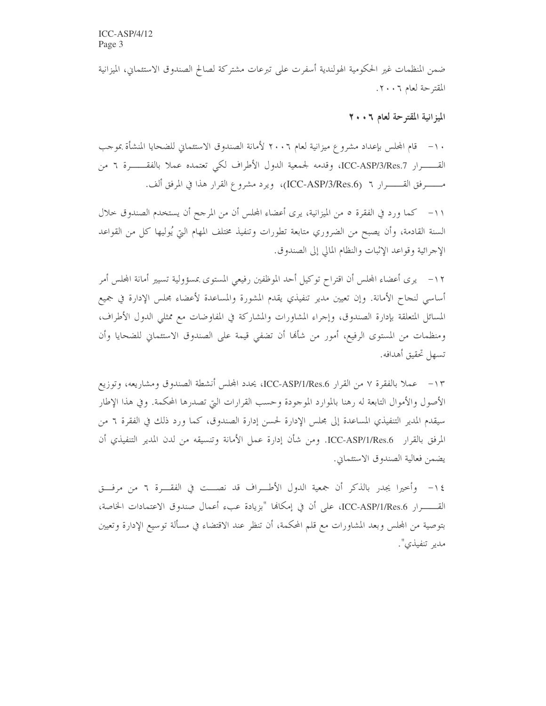ضمن المنظمات غير الحكومية الهولندية أسفرت على تبرعات مشتركة لصالح الصندوق الاستئماني، الميزانية المقترحة لعام ٢٠٠٦.

الميزانية المقترحة لعام ٢٠٠٦

١٠– قام المجلس بإعداد مشروع ميزانية لعام ٢٠٠٦ لأمانة الصندوق الاستئماني للضحايا المنشأة بموحب القـــــــرار ICC-ASP/3/Res.7، وقدمه لجمعية الدول الأطراف لكي تعتمده عملا بالفقــــــــرة ٦ من مـــــــرفق القــــــــرار ٢ (ICC-ASP/3/Res.6)، ويرد مشروع القرار هذا في المرفق ألف.

١١– كما ورد في الفقرة ٥ من الميزانية، يرى أعضاء المحلس أن من المرجح أن يستخدم الصندوق حلال السنة القادمة، وأن يصبح من الضروري متابعة تطورات وتنفيذ مختلف المهام التي يُوليها كل من القواعد الإجرائية وقواعد الإثبات والنظام المالي إلى الصندوق.

١٢– يرى أعضاء المحلس أن اقتراح توكيل أحد الموظفين رفيعي المستوى بمسؤولية تسيير أمانة المحلس أمر أساسي لنجاح الأمانة. وإن تعيين مدير تنفيذي يقدم المشورة والمساعدة لأعضاء بحلس الإدارة في جميع المسائل المتعلقة بإدارة الصندوق، وإجراء المشاورات والمشاركة في المفاوضات مع ممثلي الدول الأطراف، ومنظمات من المستوى الرفيع، أمور من شألها أن تضفى قيمة على الصندوق الاستئماني للضحايا وأن تسهل تحقيق أهدافه.

١٣- عملا بالفقرة ٧ من القرار ICC-ASP/1/Res.6، يحدد المحلس أنشطة الصندوق ومشاريعه، وتوزيع الأصول والأموال التابعة له رهنا بالموارد الموجودة وحسب القرارات التيّ تصدرها المحكمة. وفي هذا الإطار سيقدم المدير التنفيذي المساعدة إلى مجلس الإدارة لحسن إدارة الصندوق، كما ورد ذلك في الفقرة ٦ من المرفق بالقرار ICC-ASP/1/Res.6. ومن شأن إدارة عمل الأمانة وتنسيقه من لدن المدير التنفيذي أن يضمن فعالية الصندوق الاستئماني.

١٤– وأخيرا يجدر بالذكر أن جمعية الدول الأطـــراف قد نصـــت في الفقــــرة ٦ من مرفـــق القـــــــرار ICC-ASP/1/Res.6، على أن في إمكانها "بزيادة عبء أعمال صندوق الاعتمادات الخاصة، بتوصية من المجلس وبعد المشاورات مع قلم المحكمة، أن تنظر عند الاقتضاء في مسألة توسيع الإدارة وتعيين مدير تنفيذي".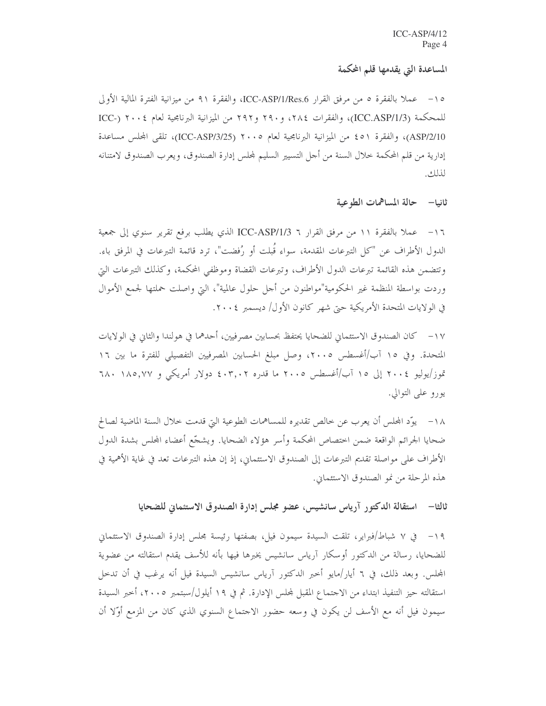#### المساعدة التي يقدمها قلم المحكمة

0 ١ – عملاً بالفقرة ٥ من مرفق القرار ICC-ASP/1/Res.6، والفقرة ٩١ من ميزانية الفترة المالية الأولى للمحكمة (ICC.ASP/1/3)، والفقرات ٢٨٤، و ٢٩٠ و ٢٩٢ من الميزانية البرنامجية لعام ٢٠٠٤ (-ICC ASP/2/10)، والفقرة ٥١ ، من الميزانية البرنامجية لعام ٢٠٠٥ (ICC-ASP/3/25)، تلقى المحلس مساعدة إدارية من قلم المحكمة حلال السنة من أجل التسيير السليم لمحلس إدارة الصندوق، ويعرب الصندوق لامتنانه لذلك.

ثانيا— حالة المساهمات الطوعية

١٦- عملاً بالفقرة ١١ من مرفق القرار ٦ ICC-ASP/1/3 الذي يطلب برفع تقرير سنوي إلى جمعية الدول الأطراف عن "كل التبرعات المقدمة، سواء قُبلت أو رُفضت"، ترد قائمة التبرعات في المرفق باء. وتتضمن هذه القائمة تبرعات الدول الأطراف، وتبرعات القضاة وموظفي المحكمة، وكذلك التبرعات التي وردت بواسطة المنظمة غير الحكومية"مواطنون من أجل حلول عالمية"، التي واصلت حملتها لجمع الأموال في الولايات المتحدة الأمريكية حتى شهر كانون الأول/ ديسمبر ٢٠٠٤.

١٧ – كان الصندوق الاستئماني للضحايا يحتفظ بحسابين مصرفيين، أحدهما في هولندا والثاني في الولايات المتحدة. وفي ١٥ آب/أغسطس ٢٠٠٥، وصل مبلغ الحسابين المصرفيين التفصيلي للفترة ما بين ١٦ تموز/يوليو ٢٠٠٤ إلى ١٥ آب/أغسطس ٢٠٠٥ ما قدره ٤٠٣,٠٢ دولار أمريكي و ٦٨٠ ٦٨٠ يورو على التوالي.

١٨ – يوَّد المجلس أن يعرب عن خالص تقديره للمساهمات الطوعية التي قدمت خلال السنة الماضية لصالح ضحايا الجرائم الواقعة ضمن اختصاص المحكمة وأسر هؤلاء الضحايا. ويشجّع أعضاء المحلس بشدة الدول الأطراف على مواصلة تقديم التبرعات إلى الصندوق الاستئماني، إذ إن هذه التبرعات تعد في غاية الأهمية في هذه المرحلة من نمو الصندوق الاستئماني.

ثالثا— استقالة الدكتور آرياس سانشيس، عضو مجلس إدارة الصندوق الاستئماني للضحايا

١٩- في ٧ شباط/فبراير، تلقت السيدة سيمون فيل، بصفتها رئيسة مجلس إدارة الصندوق الاستئماني للضحايا، رسالة من الدكتور أوسكار آرياس سانشيس يخبرها فيها بأنه للأسف يقدم استقالته من عضوية المجلس. وبعد ذلك، في ٦ أيار/مايو أحبر الدكتور آرياس سانشيس السيدة فيل أنه يرغب في أن تدخل استقالته حيز التنفيذ ابتداء من الاحتماع المقبل لمحلس الإدارة. ثم في ١٩ أيلول/سبتمبر ٢٠٠٥، أحبر السيدة سيمون فيل أنه مع الأسف لن يكون في وسعه حضور الاحتماع السنوي الذي كان من المزمع أوّلا أن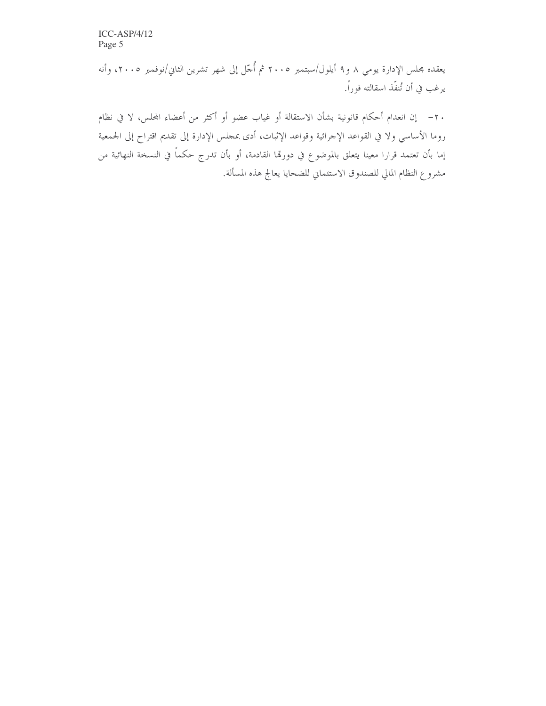$ICC-ASP/4/12$ Page 5

يعقده مجلس الإدارة يومي ٨ و٩ أيلول/سبتمبر ٢٠٠٥ ثم أُجّل إلى شهر تشرين الثاني/نوفمبر ٢٠٠٥، وأنه يرغب في أن تُنفّذ اسقالته فوراً.

٢٠ – إن انعدام أحكام قانونية بشأن الاستقالة أو غياب عضو أو أكثر من أعضاء المحلس، لا في نظام روما الأساسي ولا في القواعد الإجرائية وقواعد الإثبات، أدى بمجلس الإدارة إلى تقديم اقتراح إلى الجمعية إما بأن تعتمد قرارا معينا يتعلق بالموضوع في دورتما القادمة، أو بأن تدرج حكماً في النسخة النهائية من مشروع النظام المالي للصندوق الاستئماني للضحايا يعالج هذه المسألة.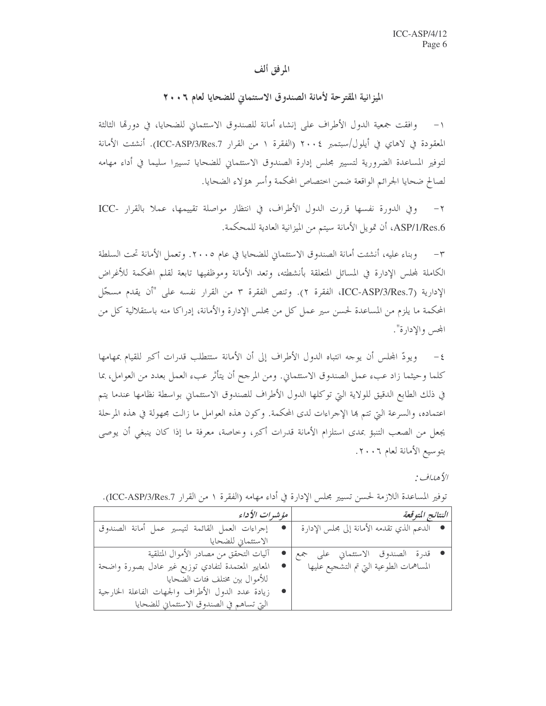#### المرفق ألف

الميزانية المقترحة لأمانة الصندوق الاستئماني للضحايا لعام ٢٠٠٦

وافقت جمعية الدول الأطراف على إنشاء أمانة للصندوق الاستئماني للضحايا، في دورها الثالثة  $-1$ المعقودة في لاهاي في أيلول/سبتمبر ٢٠٠٤ (الفقرة ١ من القرار ICC-ASP/3/Res.7). أنشئت الأمانة لتوفير المساعدة الضرورية لتسيير مجلس إدارة الصندوق الاستئماني للضحايا تسييرا سليما في أداء مهامه لصالح ضحايا الجرائم الواقعة ضمن اختصاص المحكمة وأسر هؤلاء الضحايا.

٢ - وفي الدورة نفسها قررت الدول الأطراف، في انتظار مواصلة تقييمها، عملا بالقرار -ICC ASP/1/Res.6، أن تمويل الأمانة سيتم من الميزانية العادية للمحكمة.

وبناء عليه، أنشئت أمانة الصندوق الاستئماني للضحايا في عام ٢٠٠٥. وتعمل الأمانة تحت السلطة  $-\tau$ الكاملة لمجلس الإدارة في المسائل المتعلقة بأنشطته، وتعد الأمانة وموظفيها تابعة لقلم المحكمة للأغراض الإدارية (ICC-ASP/3/Res.7)، الفقرة ٢). وتنص الفقرة ٣ من القرار نفسه على "أن يقدم مسجّل المحكمة ما يلزم من المساعدة لحسن سير عمل كل من مجلس الإدارة والأمانة، إدراكا منه باستقلالية كل من المحس والإدارة".

٤– ويودّ المجلس أن يوجه انتباه الدول الأطراف إلى أن الأمانة ستتطلب قدرات أكبر للقيام بمهامها ۖ كلما وحيثما زاد عبء عمل الصندوق الاستئماني. ومن المرحح أن يتأثر عبء العمل بعدد من العوامل، بما في ذلك الطابع الدقيق للولاية التي توكلها الدول الأطراف للصندوق الاستئماني بواسطة نظامها عندما يتم اعتماده، والسرعة التي تتم ها الإجراءات لدى المحكمة. وكون هذه العوامل ما زالت مجهولة في هذه المرحلة يجعل من الصعب التنبؤ بمدى استلزام الأمانة قدرات أكبر، وخاصة، معرفة ما إذا كان ينبغي أن يوصى بتوسيع الأمانة لعام ٢٠٠٦.

الأهداف :

| مۇشىرات الأداء                                      | النتائج المتوقعة                            |
|-----------------------------------------------------|---------------------------------------------|
| إجراءات العمل القائمة لتيسير عمل أمانة الصندوق      | ● الدعم الذي تقدمه الأمانة إلى مجلس الإدارة |
| الاستئماني للضحايا                                  |                                             |
| آليات التحقق من مصادر الأموال المتلقية              | • قدرة الصندوق الاستئماني على جمع           |
| المعايير المعتمدة لتفادي توزيع غير عادل بصورة واضحة | المساهمات الطوعية التي تم التشجيع عليها     |
| للأموال بين مختلف فئات الضحايا                      |                                             |
| • زيادة عدد الدول الأطراف والجهات الفاعلة الخارجية  |                                             |
| التي تساهم في الصندوق الاستئماني للضحايا            |                                             |

توفير المساعدة اللازمة لحسن تسيير مجلس الإدارة في أداء مهامه (الفقرة ١ من القرار ICC-ASP/3/Res.7).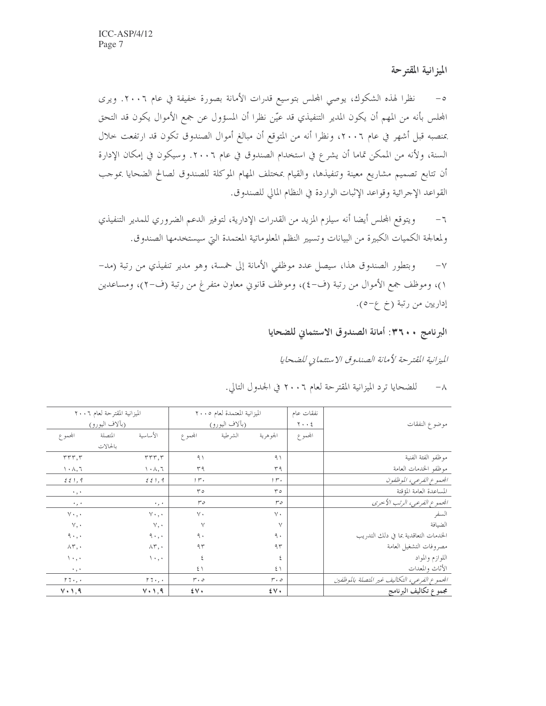## الميزانية المقترحة

نظرًا لهذه الشكوك، يوصى المجلس بتوسيع قدرات الأمانة بصورة خفيفة في عام ٢٠٠٦. ويرى  $-\circ$ المحلس بأنه من المهم أن يكون المدير التنفيذي قد عيّن نظرا أن المسؤول عن جمع الأموال يكون قد التحق بمنصبه قبل أشهر في عام ٢٠٠٦، ونظرا أنه من المتوقع أن مبالغ أموال الصندوق تكون قد ارتفعت حلال السنة، ولأنه من الممكن تماما أن يشرع في استخدام الصندوق في عام ٢٠٠٦. وسيكون في إمكان الإدارة أن تتابع تصميم مشاريع معينة وتنفيذها، والقيام بمختلف المهام الموكلة للصندوق لصالح الضحايا بموجب القواعد الإجرائية وقواعد الإثبات الواردة في النظام المالي للصندوق.

ويتوقع المجلس أيضا أنه سيلزم المزيد من القدرات الإدارية، لتوفير الدعم الضروري للمدير التنفيذي  $-7$ ولمعالجة الكميات الكبيرة من البيانات وتسيير النظم المعلوماتية المعتمدة التي سيستخدمها الصندوق.

وبتطور الصندوق هذا، سيصل عدد موظفى الأمانة إلى خمسة، وهو مدير تنفيذي من رتبة (مد- $-\vee$ ١)، وموظف جمع الأموال من رتبة (ف-٤)، وموظف قانوني معاون متفرغ من رتبة (ف-٢)، ومساعدين إداريين من رتبة (خ ع-٥).

### البرنامج ٢٦٠٠: أمانة الصندوق الاستئماني للضحايا

الميزانية المقترحة لأمانة الصندوق الاستئماني للضحايا

|                                               | نفقات عام   |              | الميزانية المعتمدة لعام ٢٠٠٥ |                                  |                                              | الميزانية المقترحة لعام ٢٠٠٦ |                                              |
|-----------------------------------------------|-------------|--------------|------------------------------|----------------------------------|----------------------------------------------|------------------------------|----------------------------------------------|
| موضوع النفقات                                 | $y \cdot z$ |              | (بألاف اليورو)               |                                  |                                              | (بآلاف اليورو)               |                                              |
|                                               | المجموع     | الجو هرية    | الشرطية                      | المجموع                          | الأساسية                                     | المتصلة                      | المجموع                                      |
|                                               |             |              |                              |                                  |                                              | بالحالات                     |                                              |
| موظفو الفئة الفنية                            |             | ۹١           |                              | ۹١                               | rrr, r                                       |                              | rrr, r                                       |
| موظفو الخدمات العامة                          |             | ۳۹           |                              | ۳۹                               | $\mathcal{N} \cdot \mathcal{N}, \mathcal{N}$ |                              | $\mathcal{N} \cdot \mathcal{N}, \mathcal{N}$ |
| الجموع الفرعي، الموظفون                       |             | $, r$ .      |                              | $, r$ .                          | 221,9                                        |                              | 221,9                                        |
| المساعدة العامة المؤقتة                       |             | ۳٥           |                              | ۳٥                               |                                              |                              | $\cdot$ , $\cdot$                            |
| الجموع الفرعي، الرتب الأحرى                   |             | $r \circ$    |                              | ەس                               | $\cdot$ , $\cdot$                            |                              | $\cdot$ , $\cdot$                            |
| السفر                                         |             | $\vee$ .     |                              | $\vee$ .                         | $V \cdot \cdot \cdot$                        |                              | $v \cdot \cdot$                              |
| الضيافة                                       |             | $\vee$       |                              | $\vee$                           | $V, \cdot$                                   |                              | $\vee$ , $\cdot$                             |
| الخدمات التعاقدية بما في دلك التدريب          |             | ٩.           |                              | ٩.                               | ٩٠,٠                                         |                              | 9.1, .                                       |
| مصروفات التشغيل العامة                        |             | ۹۳           |                              | ۹۳                               | $\wedge \curlyvee, \cdot$                    |                              | $\wedge \tau$ ,                              |
| اللوازم والمواد                               |             | ٤            |                              | ٤                                | $\langle \cdot, \cdot \rangle$               |                              | $\langle \cdot, \cdot \rangle$               |
| الأثاث والمعدات                               |             | ٤١           |                              | $5 \setminus$                    |                                              |                              | $\cdot$ , $\cdot$                            |
| الجموع الفرعي، التكاليف غير المتصلة بالموظفين |             | $r \cdot o$  |                              | $r \cdot o$                      | $r\tau\cdot$ , $\cdot$                       |                              | $r\tau\cdot$ , $\cdot$                       |
| مجموع تكاليف البرنامج                         |             | $\mathbf{y}$ |                              | $\mathfrak{t} \vee \mathfrak{t}$ | $V \cdot 1, 9$                               |                              | $V \cdot 1,9$                                |

للضحايا ترد الميزانية المقترحة لعام ٢٠٠٦ في الجدول التالي.  $-\lambda$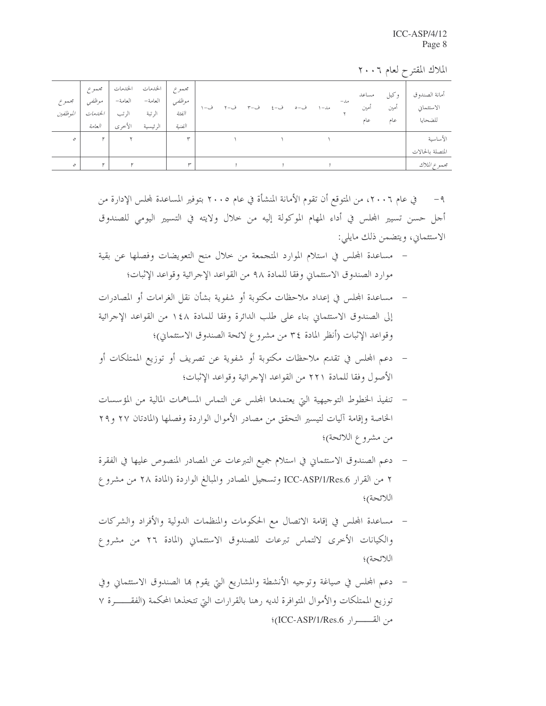| مجموع<br>الموظفين | موظفىي<br>الخليفات<br>العامة | العامة–<br>الرتب<br>الأخرى | الحدمات الحدمات   مجم <i>وع</i> ا<br>العامة–<br>الرتبة<br>الرئيسية | مجموع<br>موظفي<br>الفئة<br>الفنية | ف-١ | ف-۲ | ف-۳ | ف-٤ | ف−ه | مد– ۱ | مل – | مساعد<br>أمين<br>عام | و کيل<br>امين<br>عام | أمانة الصندوق<br>الاستثماني<br>للضحايا |
|-------------------|------------------------------|----------------------------|--------------------------------------------------------------------|-----------------------------------|-----|-----|-----|-----|-----|-------|------|----------------------|----------------------|----------------------------------------|
| $\mathcal{O}$     | ۲                            |                            |                                                                    | $\check{}$                        |     |     |     |     |     |       |      |                      |                      | الأساسية                               |
|                   |                              |                            |                                                                    |                                   |     |     |     |     |     |       |      |                      |                      | المتصلة بالحالات                       |
|                   |                              |                            |                                                                    |                                   |     |     |     |     |     |       |      |                      |                      | مجموع الملاك                           |
|                   |                              |                            |                                                                    |                                   |     |     |     |     |     |       |      |                      |                      |                                        |

الملاك المقترح لعام ٢٠٠٦

٩ – في عام ٢٠٠٦، من المتوقع أن تقوم الأمانة المنشأة في عام ٢٠٠٥ بتوفير المساعدة لمحلس الإدارة من أجل حسن تسيير المحلس في أداء المهام الموكولة إليه من خلال ولايته في التسيير اليومي للصندوق الاستئماني، ويتضمن ذلك مايلي:

- مساعدة المحلس في استلام الموارد المتجمعة من حلال منح التعويضات وفصلها عن بقية موارد الصندوق الاستئماني وفقا للمادة ٩٨ من القواعد الإحرائية وقواعد الإثبات؛
- مساعدة المجلس في إعداد ملاحظات مكتوبة أو شفوية بشأن نقل الغرامات أو المصادرات  $\overline{\phantom{a}}$ إلى الصندوق الاستئماني بناء على طلب الدائرة وفقا للمادة ١٤٨ من القواعد الإحرائية وقواعد الإثبات (أنظر المادة ٣٤ من مشروع لائحة الصندوق الاستئماني)؛
- دعم المجلس في تقديم ملاحظات مكتوبة أو شفوية عن تصريف أو توزيع الممتلكات أو  $\frac{1}{2}$ الأصول وفقا للمادة ٢٢١ من القواعد الإحرائية وقواعد الإثبات؛
- تنفيذ الخطوط التوجيهية التي يعتمدها المحلس عن التماس المساهمات المالية من المؤسسات  $\overline{\phantom{a}}$ الخاصة وإقامة آليات لتيسير التحقق من مصادر الأموال الواردة وفصلها (المادتان ٢٧ و٢٩ من مشروع اللائحة)؛
- دعم الصندوق الاستئماني في استلام جميع التبرعات عن المصادر المنصوص عليها في الفقرة ٢ من القرار ICC-ASP/1/Res.6 وتسجيل المصادر والمبالغ الواردة (المادة ٢٨ من مشرو ع اللائحة)؛
- مساعدة المجلس في إقامة الاتصال مع الحكومات والمنظمات الدولية والأفراد والشركات والكيانات الأخرى لالتماس تبرعات للصندوق الاستئماني (المادة ٢٦ من مشروع اللائحة)؛
- دعم المحلس في صياغة وتوجيه الأنشطة والمشاريع التي يقوم بما الصندوق الاستئماني وفي  $\frac{1}{2}$ توزيع الممتلكات والأموال المتوافرة لديه رهنا بالقرارات التي تتخذها المحكمة (الفقــــــرة ٧ من القــــــرار ICC-ASP/1/Res.6}؛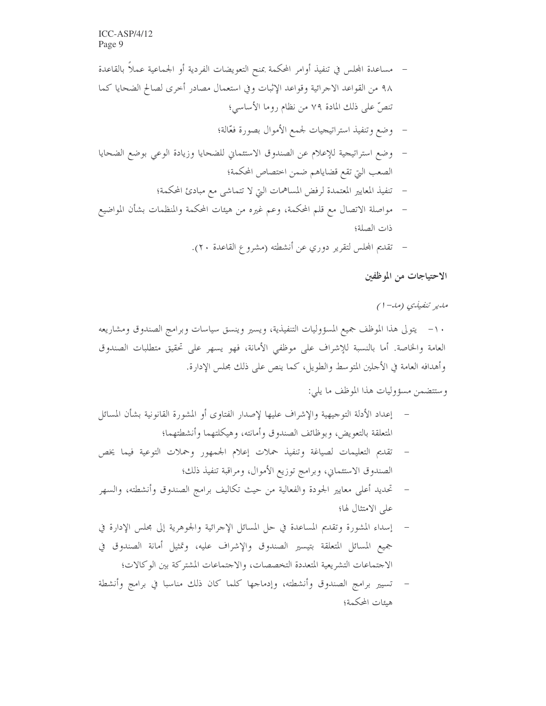- مساعدة المجلس في تنفيذ أوامر المحكمة بمنح التعويضات الفردية أو الجماعية عملاً بالقاعدة ٩٨ من القواعد الاجرائية وقواعد الإثبات وفي استعمال مصادر أخرى لصالح الضحايا كما تنصُّ على ذلك المادة ٧٩ من نظام روما الأساسي؛
	- وضع وتنفيذ استراتيجيات لجمع الأموال بصورة فعّالة؛
- وضع استراتيجية للإعلام عن الصندوق الاستئماني للضحايا وزيادة الوعى بوضع الضحايا الصعب التي تقع قضاياهم ضمن اختصاص المحكمة؛
	- تنفيذ المعايير المعتمدة لرفض المساهمات التي لا تتماشى مع مبادئ المحكمة؛  $\frac{1}{2}$
- مواصلة الاتصال مع قلم المحكمة، وعم غيره من هيئات المحكمة والمنظمات بشأن المواضيع  $\overline{\phantom{a}}$ ذات الصلة؛
	- تقديم المحلس لتقرير دوري عن أنشطته (مشروع القاعدة ٢٠).

الاحتياجات من الموظفين

مدير تنفيلي (مد-۱)

١٠– يتولى هذا الموظف جميع المسؤوليات التنفيذية، ويسير وينسق سياسات وبرامج الصندوق ومشاريعه العامة والخاصة. أما بالنسبة للإشراف على موظفي الأمانة، فهو يسهر على تحقيق متطلبات الصندوق وأهدافه العامة في الأحلين المتوسط والطويل، كما ينص على ذلك مجلس الإدارة.

وستتضمن مسؤوليات هذا الموظف ما يلي:

- إعداد الأدلة التوجيهية والإشراف عليها لإصدار الفتاوى أو المشورة القانونية بشأن المسائل المتعلقة بالتعويض، وبوظائف الصندوق وأمانته، وهيكلتهما وأنشطتهما؛
- تقديم التعليمات لصياغة وتنفيذ حملات إعلام الجمهور وحملات التوعية فيما يخص الصندوق الاستئماني، وبرامج توزيع الأموال، ومراقبة تنفيذ ذلك؛
- تحديد أعلى معايير الجودة والفعالية من حيث تكاليف برامج الصندوق وأنشطته، والسهر على الامتثال لها؛
- إسداء المشورة وتقديم المساعدة في حل المسائل الإحرائية والجوهرية إلى مجلس الإدارة في جميع المسائل المتعلقة بتيسير الصندوق والإشراف عليه، وتمثيل أمانة الصندوق في الاجتماعات التشريعية المتعددة التخصصات، والاجتماعات المشتركة بين الوكالات؛
- تسيير برامج الصندوق وأنشطته، وإدماجها كلما كان ذلك مناسبا في برامج وأنشطة هيئات المحكمة؛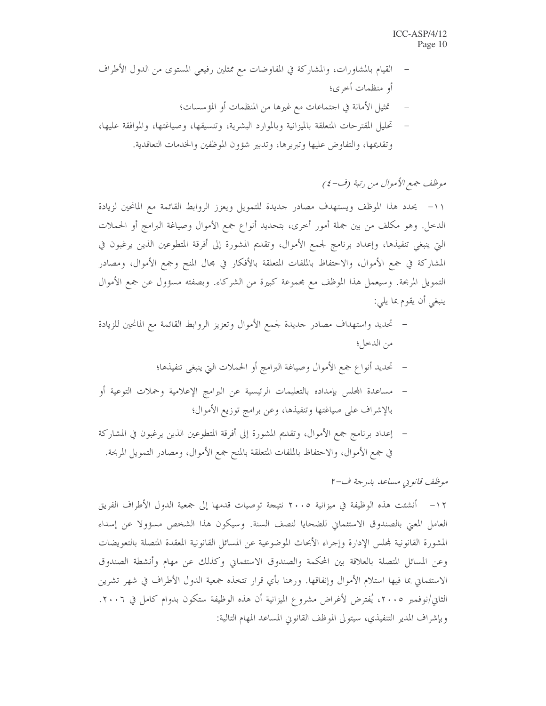القيام بالمشاورات، والمشاركة في المفاوضات مع ممثلين رفيعي المستوى من الدول الأطراف أو منظمات أخرى؛ تمثيل الأمانة في اجتماعات مع غيرها من المنظمات أو المؤسسات؛ تحليل المقترحات المتعلقة بالميزانية وبالموارد البشرية، وتنسيقها، وصياغتها، والموافقة عليها، وتقديمها، والتفاوض عليها وتبريرها، وتدبير شؤون الموظفين والخدمات التعاقدية.

موظف جمع الأموال من رتبة (ف-٤)

١١- يحدد هذا الموظف ويستهدف مصادر حديدة للتمويل ويعزز الروابط القائمة مع المانحين لزيادة الدخل. وهو مكلف من بين جملة أمور أخرى، بتحديد أنواع جمع الأموال وصياغة البرامج أو الحملات التي ينبغي تنفيذها، وإعداد برنامج لجمع الأموال، وتقديم المشورة إلى أفرقة المتطوعين الذين يرغبون في المشاركة في جمع الأموال، والاحتفاظ بالملفات المتعلقة بالأفكار في مجال المنح وجمع الأموال، ومصادر التمويل المربحة. وسيعمل هذا الموظف مع مجموعة كبيرة من الشركاء. وبصفته مسؤول عن جمع الأموال ينبغي أن يقوم بما يلي:

- تحديد واستهداف مصادر حديدة لجمع الأموال وتعزيز الروابط القائمة مع المانحين للزيادة من الدخل؛
	- تحديد أنواع جمع الأموال وصياغة البرامج أو الحملات التي ينبغي تنفيذها؛
- مساعدة المحلس بإمداده بالتعليمات الرئيسية عن البرامج الإعلامية وحملات التوعية أو  $\overline{\phantom{a}}$ بالإشراف على صياغتها وتنفيذها، وعن برامج توزيع الأموال؛
- إعداد برنامج جمع الأموال، وتقديم المشورة إلى أفرقة المتطوعين الذين يرغبون في المشاركة في جمع الأموال، والاحتفاظ بالملفات المتعلقة بالمنح جمع الأموال، ومصادر التمويل المربحة.

موظف قانويي مساعد بدرجة ف-٢

١٢– أنشئت هذه الوظيفة في ميزانية ٢٠٠٥ نتيجة توصيات قدمها إلى جمعية الدول الأطراف الفريق العامل المعنى بالصندوق الاستئماني للضحايا لنصف السنة. وسيكون هذا الشخص مسؤولا عن إسداء المشورة القانونية لمحلس الإدارة وإحراء الأبحاث الموضوعية عن المسائل القانونية المعقدة المتصلة بالتعويضات وعن المسائل المتصلة بالعلاقة بين المحكمة والصندوق الاستئماني وكذلك عن مهام وأنشطة الصندوق الاستئماني بما فيها استلام الأموال وإنفاقها. ورهنا بأي قرار تتخذه جمعية الدول الأطراف في شهر تشرين الثاني/نوفمبر ٢٠٠٥، يُفترض لأغراض مشروع الميزانية أن هذه الوظيفة ستكون بدوام كامل في ٢٠٠٦. وبإشراف المدير التنفيذي، سيتولى الموظف القانوين المساعد المهام التالية: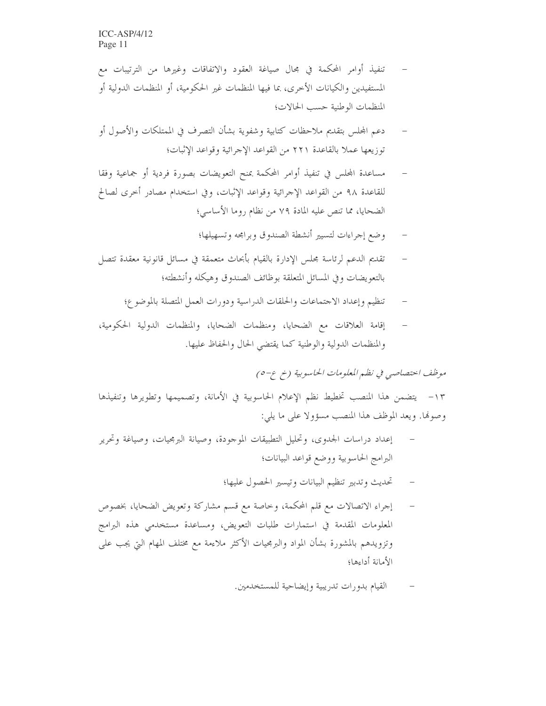- تنفيذ أوامر المحكمة في مجال صياغة العقود والاتفاقات وغيرها من الترتيبات مع المستفيدين والكيانات الأخرى، بما فيها المنظمات غير الحكومية، أو المنظمات الدولية أو المنظمات الوطنية حسب الحالات؛
- دعم المجلس بتقديم ملاحظات كتابية وشفوية بشأن التصرف في الممتلكات والأصول أو توزيعها عملاً بالقاعدة ٢٢١ من القواعد الإجرائية وقواعد الإثبات؛
- مساعدة المجلس في تنفيذ أوامر المحكمة بمنح التعويضات بصورة فردية أو جماعية وفقا للقاعدة ٩٨ من القواعد الإحرائية وقواعد الإثبات، وفي استخدام مصادر أخرى لصالح الضحايا، مما تنص عليه المادة ٧٩ من نظام روما الأساسي؛
	- وضع إجراءات لتسيير أنشطة الصندوق وبرامحه وتسهيلها؛
- تقديم الدعم لرئاسة مجلس الإدارة بالقيام بأبحاث متعمقة في مسائل قانونية معقدة تتصل بالتعويضات وفي المسائل المتعلقة بوظائف الصندوق وهيكله وأنشطته؛
	- تنظيم وإعداد الاحتماعات والحلقات الدراسية ودورات العمل المتصلة بالموضوع؛
- إقامة العلاقات مع الضحايا، ومنظمات الضحايا، والمنظمات الدولية الحكومية، والمنظمات الدولية والوطنية كما يقتضى الحال والحفاظ عليها.

موظف احتصاصي في نظم المعلومات الحاسوبية (خ ع-٥)

١٣– يتضمن هذا المنصب تخطيط نظم الإعلام الحاسوبية في الأمانة، وتصميمها وتطويرها وتنفيذها وصوفا. ويعد الموظف هذا المنصب مسؤولا على ما يلي:

- إعداد دراسات الجدوى، وتحليل التطبيقات الموجودة، وصيانة البرمجيات، وصياغة وتحرير البرامج الحاسوبية ووضع قواعد البيانات؛
	- تحديث وتدبير تنظيم البيانات وتيسير الحصول عليها؛
- إجراء الاتصالات مع قلم المحكمة، وخاصة مع قسم مشاركة وتعويض الضحايا، بخصوص المعلومات المقدمة في استمارات طلبات التعويض، ومساعدة مستخدمي هذه البرامج وتزويدهم بالمشورة بشأن المواد والبرمجيات الأكثر ملاءمة مع مختلف المهام التي يجب على الأمانة أداءها؛
	- القيام بدورات تدريبية وإيضاحية للمستخدمين.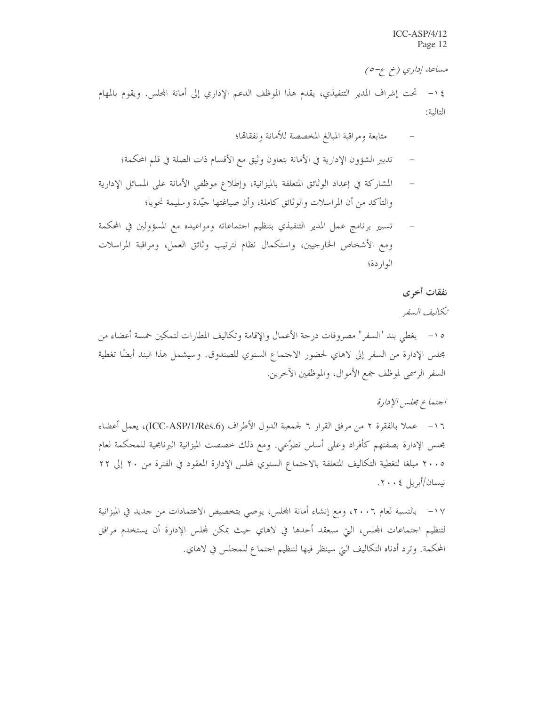مساعد إداري (خ ع-٥)

١٤ – تحت إشراف المدير التنفيذي، يقدم هذا الموظف الدعم الإداري إلى أمانة المحلس. ويقوم بالمهام التالية:

- متابعة ومراقبة المبالغ المخصصة للأمانة ونفقاقما؛
- تدبير الشؤون الإدارية في الأمانة بتعاون وثيق مع الأقسام ذات الصلة في قلم المحكمة؛
- المشاركة في إعداد الوثائق المتعلقة بالميزانية، وإطلاع موظفى الأمانة على المسائل الإدارية والتأكد من أن المراسلات والوثائق كاملة، وأن صياغتها جيّدة وسليمة نحويا؛
- تسيير برنامج عمل المدير التنفيذي بتنظيم احتماعاته ومواعيده مع المسؤولين في المحكمة ومع الأشخاص الخارجيين، واستكمال نظام لترتيب وثائق العمل، ومراقبة المراسلات الواردة؛

نفقات أخرى

تكاليف السفر

١٥ – يغطى بند "السفر" مصروفات درجة الأعمال والإقامة وتكاليف المطارات لتمكين خمسة أعضاء من مجلس الإدارة من السفر إلى لاهاي لحضور الاحتماع السنوي للصندوق. وسيشمل هذا البند أيضًا تغطية السفر الرسمي لموظف جمع الأموال، والموظفين الآخرين.

اجتماع مجلس الإدارة

١٦- عملا بالفقرة ٢ من مرفق القرار ٦ لجمعية الدول الأطراف (ICC-ASP/1/Res.6)، يعمل أعضاء مجلس الإدارة بصفتهم كأفراد وعلى أساس تطوّعي. ومع ذلك خصصت الميزانية البرنامجية للمحكمة لعام ٢٠٠٥ مبلغا لتغطية التكاليف المتعلقة بالاحتماع السنوي لمحلس الإدارة المعقود في الفترة من ٢٠ إلى ٢٢ نيسان/أبريل ٢٠٠٤.

١٧ – بالنسبة لعام ٢٠٠٦، ومع إنشاء أمانة المحلس، يوصى بتخصيص الاعتمادات من حديد في الميزانية لتنظيم اجتماعات المحلس، التي سيعقد أحدها في لاهاي حيث يمكن لمحلس الإدارة أن يستخدم مرافق المحكمة. وترد أدناه التكاليف التيّ سينظر فيها لتنظيم احتماع للمحلس في لاهاي.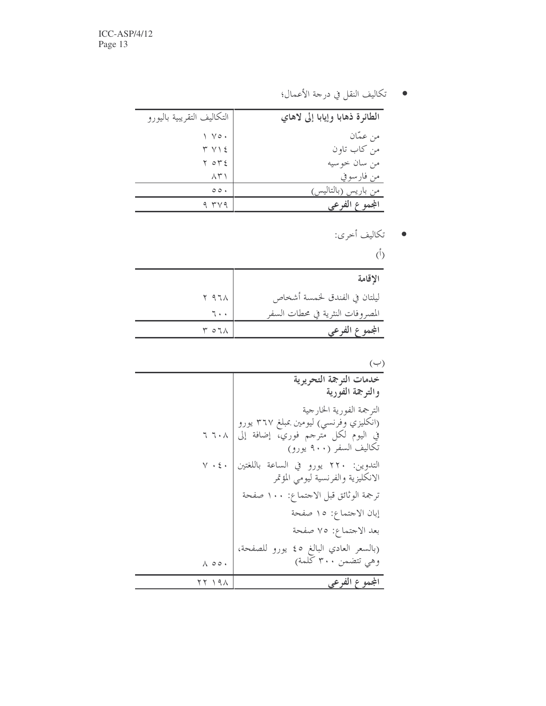● تكاليف النقل في درجة الأعمال؛

| التكاليف التقريبية باليورو | الطائرة ذهابا وإيابا إلى لاهاي |
|----------------------------|--------------------------------|
| $\vee \circ \cdot$         | من عمَّان                      |
| $Y Y \$                    | من كاب تاون                    |
| ۲ ٥٣٤                      | من سان حو سيه                  |
| ハドー                        | من فارسوفي                     |
| $\circ \circ \cdot$        | (بالتاليس٬<br>من بار پسر       |
| 9 TV9                      | المجموع الفرعي                 |

● تكاليف أخرى:

 $(\dagger)$ 

| الاقامة                          |                |
|----------------------------------|----------------|
| ليلتان في الفندق لخمسة أشخاص     | ۱۹۶۸ م         |
| المصروفات النثرية في محطات السفر | ٦٠,            |
| المجمو                           | $Y O T \wedge$ |

## $(4)$

| خدمات الترجمة التحريرية                                                    |                 |
|----------------------------------------------------------------------------|-----------------|
| والترجمة الفورية                                                           |                 |
| الترجمة الفورية الخارجية                                                   |                 |
| (انكليزي وفرنسي) ليومين بمبلغ ٣٦٧ يورو                                     |                 |
| في اليوم لكل مترجم فوري، إضافة إلى<br>تكاليف السفر (٩٠٠ يورو)              | て て・人           |
| التدوين: ٢٢٠ يورو في الساعة باللغتين<br>الانكليزية والفرنسية ليومى المؤتمر | $V \cdot \xi$ . |
| ترجمة الوثائق قبل الاحتماع: ١٠٠ صفحة                                       |                 |
| إبان الاجتماع: ١٥ صفحة                                                     |                 |
| بعد الاجتماع: ٧٥ صفحة                                                      |                 |
| (بالسعر العادي البالغ ٤٥ يورو للصفحة،                                      |                 |
| وهي تتضمن ٣٠٠ كلمة)                                                        | A 00.           |
| المجموع الفرعي                                                             | 121 19          |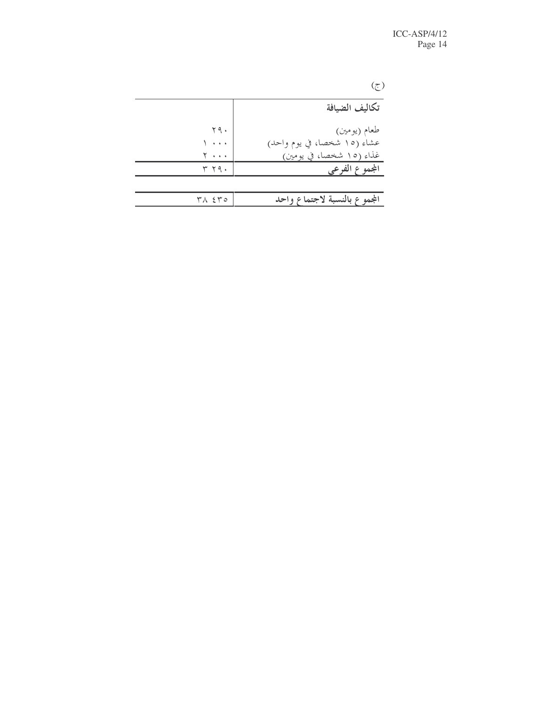$(\underline{\tau})$ 

| تكاليف الضيافة               |                  |
|------------------------------|------------------|
| طعام (يومين)                 | ۲۹.              |
| عشاء (١٥ شخصا، في يوم واحد)  |                  |
| غذاء (١٥ شخصا، في يومين)     | Y                |
| المجموع الفرعي               | ۳۲۹۰             |
|                              |                  |
| المجموع بالنسبة لاجتماع واحد | $Y \wedge \xi Y$ |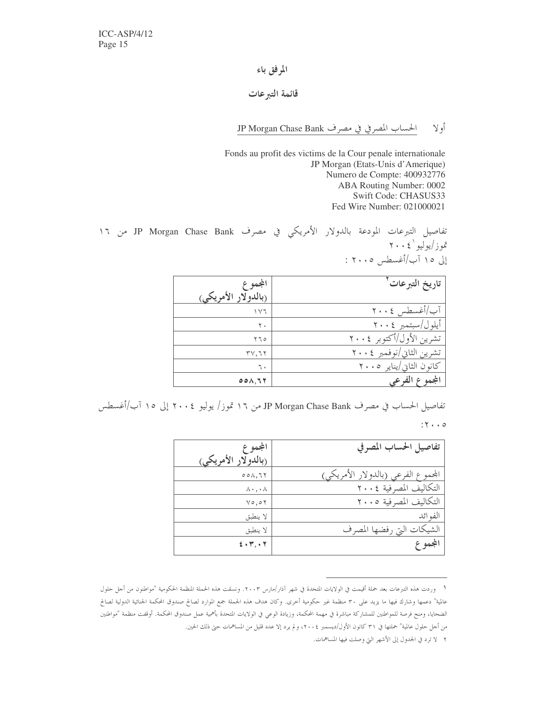### المرفق باء

#### قائمة التبرعات

الحساب المصرفي في مصرف JP Morgan Chase Bank أولا

Fonds au profit des victims de la Cour penale internationale JP Morgan (Etats-Unis d'Amerique) Numero de Compte: 400932776 ABA Routing Number: 0002 Swift Code: CHASUS33 Fed Wire Number: 021000021

تفاصيل التبرعات المودعة بالدولار الأمريكي في مصرف JP Morgan Chase Bank من ١٦ تموز/يوليو '٢٠٠٤ إلى ١٥ آب/أغسطس ٢٠٠٥ :

| المجموع             | تاريخ التبرعات           |
|---------------------|--------------------------|
| (بالدولار الأمريكي) |                          |
| ۱۷٦                 | آب/أغسطس ٢٠٠٤            |
| ۲.                  | أيلول/سبتمبر ٢٠٠٤        |
| ۲٦٥                 | تشرين الأول/أكتوبر ٢٠٠٤  |
| ۳۷,٦۲               | تشرين الثاني/نوفمبر ٢٠٠٤ |
| ٦.                  | كانون الثاني/يناير ٢٠٠٥  |
| 001,77              | ۱۶ الف                   |

تفاصيل الحساب في مصرف JP Morgan Chase Bank من ١٦ تموز/ يوليو ٢٠٠٤ إلى ١٥ آب/أغسطس

#### $:Y \rightarrow Q$

| المجموع                     | تفاصيل الحساب المصرفي              |
|-----------------------------|------------------------------------|
| (بالدولار الأمريكي)         |                                    |
| 001,77                      | المحموع الفرعي (بالدولار الأمريكي) |
| $\wedge \cdot \cdot \wedge$ | التكاليف المصرفية ٢٠٠٤             |
| $Y \circ Q \circ Y$         | التكاليف المصرفية ٢٠٠٥             |
| لا ينطبق                    | الفو ائد                           |
| لا ينطبق                    | الشيكات التي رفضها المصرف          |
| 5.47, .7                    | المجموع                            |

١- وردت هذه التبرعات بعد حملة أقيمت في الولايات المتحدة في شهر آذار/مارس ٢٠٠٣. ونسقت هذه الحملة المنظمة الحكومية "مواطنون من أجل حلول عالمية" دعمها وشارك فيها ما يزيد على ٣٠ منظمة غير حكومية أخرى. وكان هدف هذه الجملة جمع الموارد لصالح صندوق المحكمة الجنائية الدولية لصالح الضحايا، ومنح فرصة للمواطنين للمشاركة مباشرة في مهمة المحكمة، وزيادة الوعي في الولايات المتحدة بأهمية عمل صندوق المحكمة. أوقفت منظمة "مواطنين من أجل حلول عالمية" حملتها في ٣١ كانون الأول/ديسمبر ٢٠٠٤، ولم يرد إلا عدد قليل من المساهمات حتى ذلك الحين.

٢ لا ترد في الجدول إلى الأشهر التي وصلت فيها المساهمات.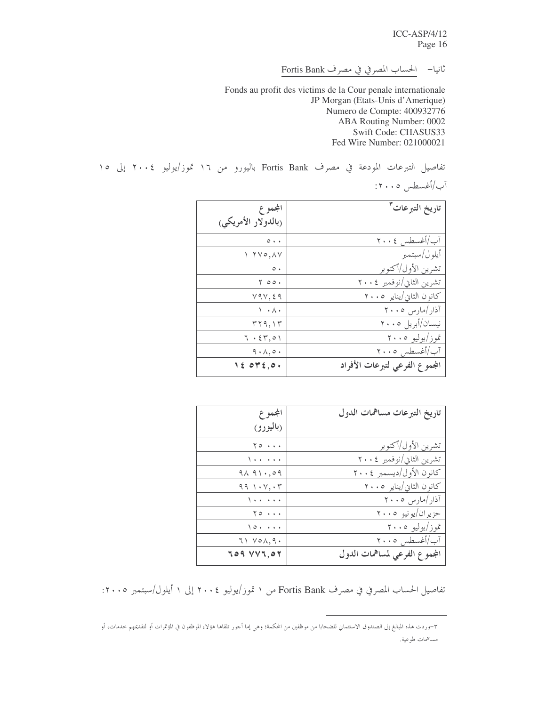$ICC-ASP/4/12$ Page 16

ثانيا- الحساب المصرفي في مصرف Fortis Bank

Fonds au profit des victims de la Cour penale internationale JP Morgan (Etats-Unis d'Amerique) Numero de Compte: 400932776 ABA Routing Number: 0002 Swift Code: CHASUS33 Fed Wire Number: 021000021

تفاصيل التبرعات المودعة في مصرف Fortis Bank باليورو من ١٦ تموز/يوليو ٢٠٠٤ إلى ١٥

آب/أغسطس ۱۲۰۰۰:

| المجموع                                         | تاريخ التبرعات <sup>٣</sup>    |
|-------------------------------------------------|--------------------------------|
| (بالدولار الأمريكي)                             |                                |
| $\circ\cdot\cdot$                               | آب/أغسطس ٢٠٠٤                  |
| $\Upsilon \vee \circ \wedge \vee$               | أيلو ل/سبتمبر                  |
| $\circ\cdot$                                    | تشرين الأول/أكتوبر             |
| 00۰ ۲                                           | تشرين الثاني/نوفمبر ٢٠٠٤       |
| Y9Y, 29                                         | كانون الثاني/يناير ٢٠٠٥        |
| ヽ・ハ・                                            | آذار /مارس ۲۰۰۵                |
| ۳۲۹,۱۳                                          | نیسان/أبریل ۲۰۰۵               |
| 7.57,01                                         | تموز/يوليو ٢٠٠٥                |
| 9.1,0.1                                         | آب/أغسطس ٢٠٠٥                  |
| $\forall \xi \; \mathsf{or} \; \xi, \mathsf{o}$ | المجموع الفرعي لتبرعات الأفراد |

| المجموع                                              | تاريخ التبرعات مساهمات الدول  |
|------------------------------------------------------|-------------------------------|
| (باليورو)                                            |                               |
| $Y \circ \cdots$                                     | تشرين الأول/أكتوبر            |
| $\sqrt{1 + \frac{1}{2} + \frac{1}{2} + \frac{1}{2}}$ | تشرين الثاني/نوفمبر ٢٠٠٤      |
| 91.91.09                                             | كانون الأول/ديسمبر ٢٠٠٤       |
| 991.1                                                | كانون الثاني/يناير ٢٠٠٥       |
| $\sqrt{1 + \epsilon^2 + \epsilon^2 + \epsilon^2}$    | آذار /مارس ۲۰۰۵               |
| $Y \circ \cdots$                                     | حزيران/يونيو ٢٠٠٥             |
| $\sqrt{0}$                                           | تموز/يوليو ٢٠٠٥               |
| $71 \text{ V0A}, 9.$                                 | آب/أغسطس ٢٠٠٥                 |
| <b>JO9 VVJ,07</b>                                    | المجموع الفرعي لمساهمات الدول |

تفاصيل الحساب المصرفي في مصرف Fortis Bank من ١ تموز/يوليو ٢٠٠٤ إلى ١ أيلول/سبتمبر ٢٠٠٥:

٣-وردت هذه المبالغ إلى الصندوق الاستثماني للضحايا من موظفين من المحكمة؛ وهي إما أحور تلقاها هؤلاء الموظفون في المؤتمرات أو لتقديمهم حدمات، أو مساهمات طوعية.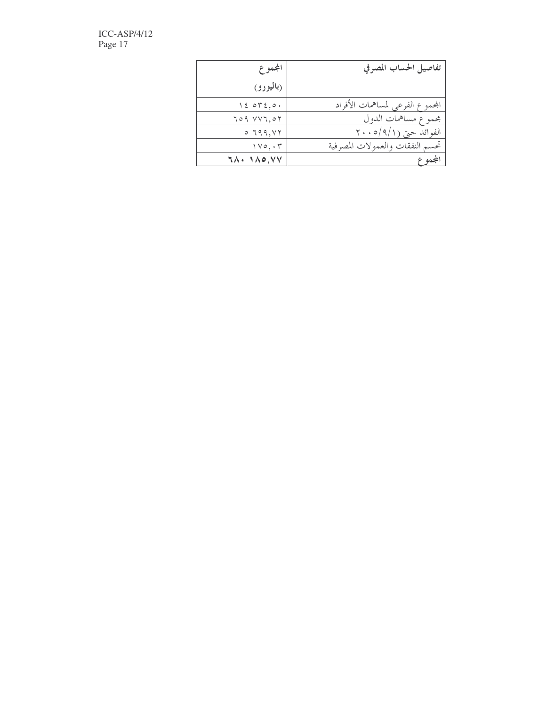$\text{ICC-ASP}/4/12$ Page 17

| المجموع                              | تفاصيل الحساب المصرفي           |
|--------------------------------------|---------------------------------|
| (باليورو)                            |                                 |
| 15.075,0.                            | المحموع الفرعي لمساهمات الأفراد |
| 709 VVI, 07                          | مجموع مساهمات الدول             |
| 0.799, YY                            | الفوائد حتى (٩/١/٢٠٠٥           |
| $\gamma \vee \circ, \cdot \curlyvee$ | تحسم النفقات والعمولات المصرفية |
| $7\lambda \cdot 1\lambda o, VV$      | المجموع                         |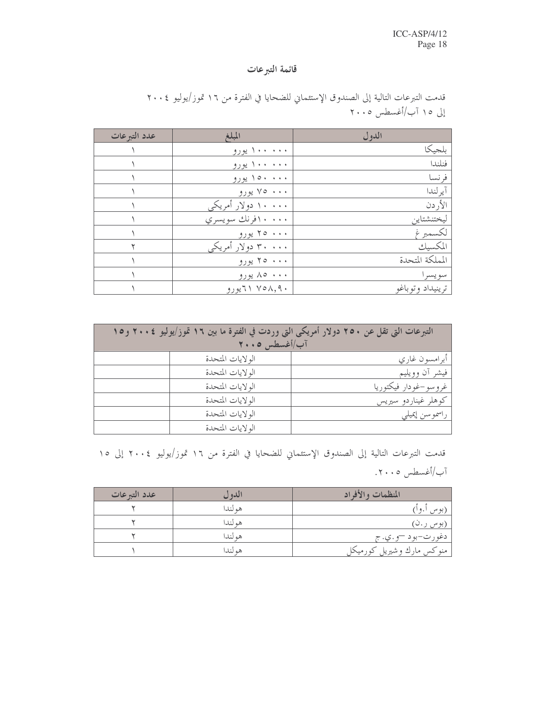## قائمة التبرعات

| عدد التبر عات | المبلغ              | الدول            |
|---------------|---------------------|------------------|
|               | ۰۰۰ ۱۰۰۰ یورو       | بلجيكا           |
|               | ۱۰۰۰۰۰ یورو         | فنلندا           |
|               | ۱۰۰۰ ۱۵۰ یورو       | فر نسا           |
|               | ۷۰۰۰ پورو           | آير لندا         |
|               | ۱۰۰۰۰ دولار أمريكي  | الأر دن          |
|               | ۱۰۰۰ افرنك سويسري   | ليختنشتاين       |
|               | ۲۰۰۰ يورو           | لكسمبرغ          |
|               | ۳۰ ۰۰۰ دولار أمريكي | المكسيك          |
|               | ۲۰۰۰ بورو           | المملكة المتحدة  |
|               | ۸۰۰۰ ۸۵ يورو        | سويسرا           |
|               | ۲۱ ۷۵۸,۹۰ المپورو   | ترينيداد وتوباغو |

قدمت التبرعات التالية إلى الصندوق الإستئماني للضحايا في الفترة من ١٦ تموز/يوليو ٢٠٠٤ إلى ١٥ آب/أغسطس ٢٠٠٥

| التبرعات التي تقل عن ٢٥٠ دولار أمريكي التي وردت في الفترة ما بين ١٦ تموز/يوليو ٢٠٠٤ و١٥ |                  |                          |  |  |
|-----------------------------------------------------------------------------------------|------------------|--------------------------|--|--|
| آب/أغسطس ١٠٠٥                                                                           |                  |                          |  |  |
|                                                                                         | الولايات المتحدة | أبرامسون غاري            |  |  |
|                                                                                         | الولايات المتحدة | فيشر آن وويليم           |  |  |
|                                                                                         | الولايات المتحدة | غرو سو –غو دار  فیکتوریا |  |  |
|                                                                                         | الولايات المتحدة | كوهلر غيناردو سيريس      |  |  |
|                                                                                         | الولايات المتحدة | راسموسن إيميلي           |  |  |
|                                                                                         | الولايات المتحدة |                          |  |  |

قدمت التبرعات التالية إلى الصندوق الإستئماني للضحايا في الفترة من ١٦ تموز/يوليو ٢٠٠٤ إلى ١٥ آب/أغسطس ٢٠٠٥.

| عدد التبرعات | الدو ل  | المنظمات والأفراد         |
|--------------|---------|---------------------------|
|              | هم لندا | (بوس أ.و أ)               |
|              | هم لندا | (بوس ر .ن)                |
|              | هم لندا | , دغورت-بود –و.ي.ج        |
|              | هو لندا | منوكس مارك وشيريل كورميكل |